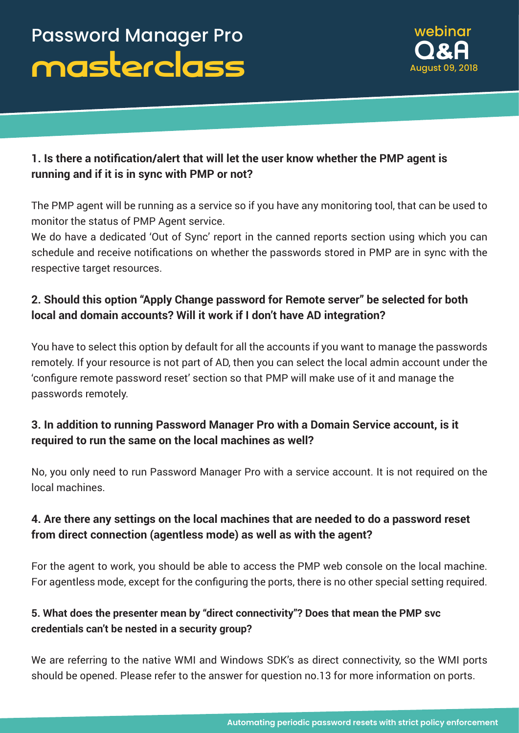

# **1. Is there a notification/alert that will let the user know whether the PMP agent is running and if it is in sync with PMP or not?**

The PMP agent will be running as a service so if you have any monitoring tool, that can be used to monitor the status of PMP Agent service.

We do have a dedicated 'Out of Sync' report in the canned reports section using which you can schedule and receive notifications on whether the passwords stored in PMP are in sync with the respective target resources.

# **2. Should this option "Apply Change password for Remote server" be selected for both local and domain accounts? Will it work if I don't have AD integration?**

You have to select this option by default for all the accounts if you want to manage the passwords remotely. If your resource is not part of AD, then you can select the local admin account under the 'configure remote password reset' section so that PMP will make use of it and manage the passwords remotely.

# **3. In addition to running Password Manager Pro with a Domain Service account, is it required to run the same on the local machines as well?**

No, you only need to run Password Manager Pro with a service account. It is not required on the local machines.

# **4. Are there any settings on the local machines that are needed to do a password reset from direct connection (agentless mode) as well as with the agent?**

For the agent to work, you should be able to access the PMP web console on the local machine. For agentless mode, except for the configuring the ports, there is no other special setting required.

## **5. What does the presenter mean by "direct connectivity"? Does that mean the PMP svc credentials can't be nested in a security group?**

We are referring to the native WMI and Windows SDK's as direct connectivity, so the WMI ports should be opened. Please refer to the answer for question no.13 for more information on ports.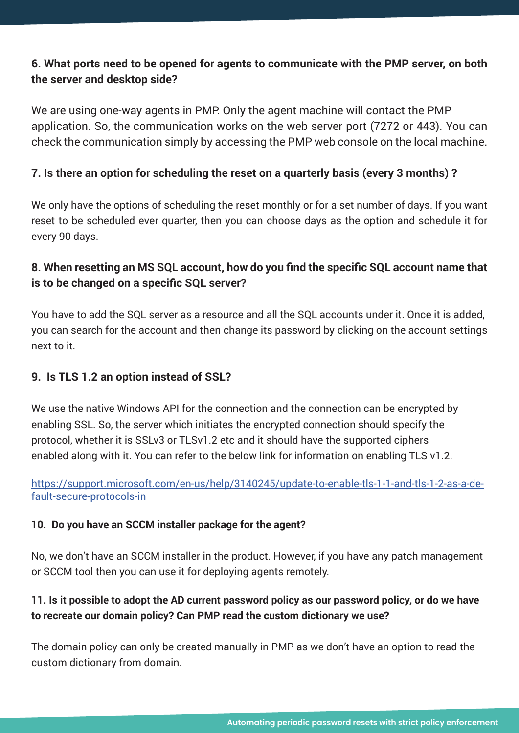## **6. What ports need to be opened for agents to communicate with the PMP server, on both the server and desktop side?**

We are using one-way agents in PMP. Only the agent machine will contact the PMP application. So, the communication works on the web server port (7272 or 443). You can check the communication simply by accessing the PMP web console on the local machine.

### **7. Is there an option for scheduling the reset on a quarterly basis (every 3 months) ?**

We only have the options of scheduling the reset monthly or for a set number of days. If you want reset to be scheduled ever quarter, then you can choose days as the option and schedule it for every 90 days.

## **8. When resetting an MS SQL account, how do you find the specific SQL account name that is to be changed on a specific SQL server?**

You have to add the SQL server as a resource and all the SQL accounts under it. Once it is added, you can search for the account and then change its password by clicking on the account settings next to it.

#### **9. Is TLS 1.2 an option instead of SSL?**

We use the native Windows API for the connection and the connection can be encrypted by enabling SSL. So, the server which initiates the encrypted connection should specify the protocol, whether it is SSLv3 or TLSv1.2 etc and it should have the supported ciphers enabled along with it. You can refer to the below link for information on enabling TLS v1.2.

[https://support.microsoft.com/en-us/help/3140245/update-to-enable-tls-1-1-and-tls-1-2-as-a-de](https://support.microsoft.com/en-us/help/3140245/update-to-enable-tls-1-1-and-tls-1-2-as-a-default-s)[fault-secure-protocols-in](https://support.microsoft.com/en-us/help/3140245/update-to-enable-tls-1-1-and-tls-1-2-as-a-default-s)

#### **10. Do you have an SCCM installer package for the agent?**

No, we don't have an SCCM installer in the product. However, if you have any patch management or SCCM tool then you can use it for deploying agents remotely.

### 11. Is it possible to adopt the AD current password policy as our password policy, or do we have **to recreate our domain policy? Can PMP read the custom dictionary we use?**

The domain policy can only be created manually in PMP as we don't have an option to read the custom dictionary from domain.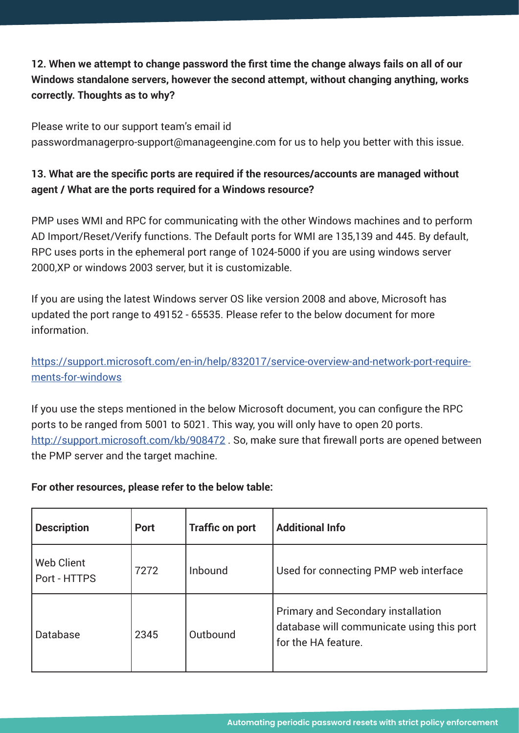# **12. When we attempt to change password the first time the change always fails on all of our Windows standalone servers, however the second attempt, without changing anything, works correctly. Thoughts as to why?**

Please write to our support team's email id passwordmanagerpro-support@manageengine.com for us to help you better with this issue.

### **13. What are the specific ports are required if the resources/accounts are managed without agent / What are the ports required for a Windows resource?**

PMP uses WMI and RPC for communicating with the other Windows machines and to perform AD Import/Reset/Verify functions. The Default ports for WMI are 135,139 and 445. By default, RPC uses ports in the ephemeral port range of 1024-5000 if you are using windows server 2000,XP or windows 2003 server, but it is customizable.

If you are using the latest Windows server OS like version 2008 and above, Microsoft has updated the port range to 49152 - 65535. Please refer to the below document for more information.

## [https://support.microsoft.com/en-in/help/832017/service-overview-and-network-port-require](https://support.microsoft.com/en-in/help/832017/service-overview-and-network-port-requirements-for-w)[ments-for-windows](https://support.microsoft.com/en-in/help/832017/service-overview-and-network-port-requirements-for-w)

If you use the steps mentioned in the below Microsoft document, you can configure the RPC ports to be ranged from 5001 to 5021. This way, you will only have to open 20 ports. http://support.microsoft.com/kb/908472. So, make sure that firewall ports are opened between the PMP server and the target machine.

#### **For other resources, please refer to the below table:**

| <b>Description</b>                | <b>Port</b> | <b>Traffic on port</b> | <b>Additional Info</b>                                                                                        |
|-----------------------------------|-------------|------------------------|---------------------------------------------------------------------------------------------------------------|
| <b>Web Client</b><br>Port - HTTPS | 7272        | Inbound                | Used for connecting PMP web interface                                                                         |
| <b>Database</b>                   | 2345        | Outbound               | <b>Primary and Secondary installation</b><br>database will communicate using this port<br>for the HA feature. |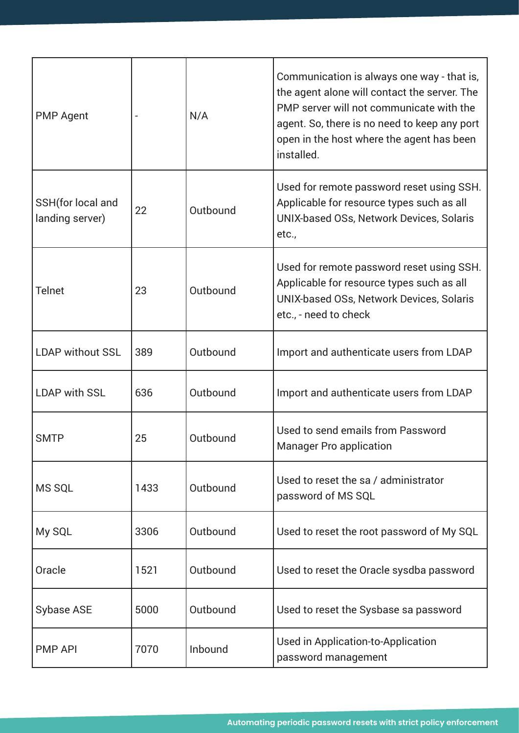| <b>PMP Agent</b>                     |      | N/A      | Communication is always one way - that is,<br>the agent alone will contact the server. The<br>PMP server will not communicate with the<br>agent. So, there is no need to keep any port<br>open in the host where the agent has been<br>installed. |
|--------------------------------------|------|----------|---------------------------------------------------------------------------------------------------------------------------------------------------------------------------------------------------------------------------------------------------|
| SSH(for local and<br>landing server) | 22   | Outbound | Used for remote password reset using SSH.<br>Applicable for resource types such as all<br>UNIX-based OSs, Network Devices, Solaris<br>etc.,                                                                                                       |
| <b>Telnet</b>                        | 23   | Outbound | Used for remote password reset using SSH.<br>Applicable for resource types such as all<br>UNIX-based OSs, Network Devices, Solaris<br>etc., - need to check                                                                                       |
| <b>LDAP without SSL</b>              | 389  | Outbound | Import and authenticate users from LDAP                                                                                                                                                                                                           |
| <b>LDAP with SSL</b>                 | 636  | Outbound | Import and authenticate users from LDAP                                                                                                                                                                                                           |
| <b>SMTP</b>                          | 25   | Outbound | Used to send emails from Password<br><b>Manager Pro application</b>                                                                                                                                                                               |
| <b>MS SQL</b>                        | 1433 | Outbound | Used to reset the sa / administrator<br>password of MS SQL                                                                                                                                                                                        |
| My SQL                               | 3306 | Outbound | Used to reset the root password of My SQL                                                                                                                                                                                                         |
| Oracle                               | 1521 | Outbound | Used to reset the Oracle sysdba password                                                                                                                                                                                                          |
| <b>Sybase ASE</b>                    | 5000 | Outbound | Used to reset the Sysbase sa password                                                                                                                                                                                                             |
| <b>PMP API</b>                       | 7070 | Inbound  | Used in Application-to-Application<br>password management                                                                                                                                                                                         |